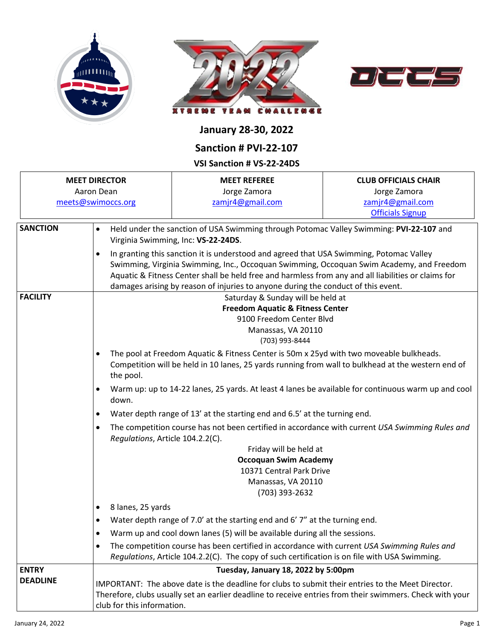





## **January 28-30, 2022**

## **Sanction # PVI-22-107**

## **VSI Sanction # VS-22-24DS**

|                                                          |                                | VJI JAIILLIUII † VJ-ZZ-Z4DJ                                                                                                                                                                                                                                                                                                                                                                                                                                                                                       |                                                                                                          |  |  |  |
|----------------------------------------------------------|--------------------------------|-------------------------------------------------------------------------------------------------------------------------------------------------------------------------------------------------------------------------------------------------------------------------------------------------------------------------------------------------------------------------------------------------------------------------------------------------------------------------------------------------------------------|----------------------------------------------------------------------------------------------------------|--|--|--|
| <b>MEET DIRECTOR</b><br>Aaron Dean<br>meets@swimoccs.org |                                | <b>MEET REFEREE</b><br>Jorge Zamora<br>zamjr4@gmail.com                                                                                                                                                                                                                                                                                                                                                                                                                                                           | <b>CLUB OFFICIALS CHAIR</b><br>Jorge Zamora<br>zamjr4@gmail.com<br><b>Officials Signup</b>               |  |  |  |
| <b>SANCTION</b>                                          | $\bullet$<br>$\bullet$         | Held under the sanction of USA Swimming through Potomac Valley Swimming: PVI-22-107 and<br>Virginia Swimming, Inc: VS-22-24DS.<br>In granting this sanction it is understood and agreed that USA Swimming, Potomac Valley<br>Swimming, Virginia Swimming, Inc., Occoquan Swimming, Occoquan Swim Academy, and Freedom<br>Aquatic & Fitness Center shall be held free and harmless from any and all liabilities or claims for<br>damages arising by reason of injuries to anyone during the conduct of this event. |                                                                                                          |  |  |  |
| <b>FACILITY</b>                                          |                                | Saturday & Sunday will be held at<br><b>Freedom Aquatic &amp; Fitness Center</b><br>9100 Freedom Center Blvd<br>Manassas, VA 20110<br>(703) 993-8444                                                                                                                                                                                                                                                                                                                                                              |                                                                                                          |  |  |  |
|                                                          | $\bullet$<br>the pool.         | The pool at Freedom Aquatic & Fitness Center is 50m x 25yd with two moveable bulkheads.<br>Competition will be held in 10 lanes, 25 yards running from wall to bulkhead at the western end of                                                                                                                                                                                                                                                                                                                     |                                                                                                          |  |  |  |
|                                                          | $\bullet$<br>down.             | Warm up: up to 14-22 lanes, 25 yards. At least 4 lanes be available for continuous warm up and cool                                                                                                                                                                                                                                                                                                                                                                                                               |                                                                                                          |  |  |  |
|                                                          | $\bullet$                      | Water depth range of 13' at the starting end and 6.5' at the turning end.                                                                                                                                                                                                                                                                                                                                                                                                                                         |                                                                                                          |  |  |  |
|                                                          | $\bullet$                      | The competition course has not been certified in accordance with current USA Swimming Rules and<br>Regulations, Article 104.2.2(C).                                                                                                                                                                                                                                                                                                                                                                               |                                                                                                          |  |  |  |
|                                                          |                                | Friday will be held at<br><b>Occoquan Swim Academy</b><br>10371 Central Park Drive<br>Manassas, VA 20110<br>(703) 393-2632                                                                                                                                                                                                                                                                                                                                                                                        |                                                                                                          |  |  |  |
|                                                          | 8 lanes, 25 yards<br>$\bullet$ |                                                                                                                                                                                                                                                                                                                                                                                                                                                                                                                   |                                                                                                          |  |  |  |
|                                                          | $\bullet$                      | Water depth range of 7.0' at the starting end and 6' 7" at the turning end.                                                                                                                                                                                                                                                                                                                                                                                                                                       |                                                                                                          |  |  |  |
|                                                          | $\bullet$                      | Warm up and cool down lanes (5) will be available during all the sessions.                                                                                                                                                                                                                                                                                                                                                                                                                                        |                                                                                                          |  |  |  |
|                                                          | $\bullet$                      | The competition course has been certified in accordance with current USA Swimming Rules and<br>Regulations, Article 104.2.2(C). The copy of such certification is on file with USA Swimming.                                                                                                                                                                                                                                                                                                                      |                                                                                                          |  |  |  |
| <b>ENTRY</b>                                             |                                | Tuesday, January 18, 2022 by 5:00pm                                                                                                                                                                                                                                                                                                                                                                                                                                                                               |                                                                                                          |  |  |  |
| <b>DEADLINE</b>                                          | club for this information.     | IMPORTANT: The above date is the deadline for clubs to submit their entries to the Meet Director.                                                                                                                                                                                                                                                                                                                                                                                                                 | Therefore, clubs usually set an earlier deadline to receive entries from their swimmers. Check with your |  |  |  |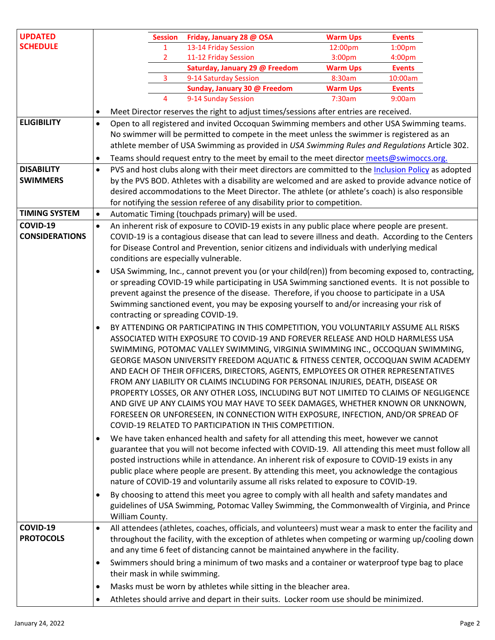| <b>UPDATED</b>                    |           |                                                                                                                                                                         | <b>Session</b> | Friday, January 28 @ OSA                                                                                | <b>Warm Ups</b> | <b>Events</b> |  |
|-----------------------------------|-----------|-------------------------------------------------------------------------------------------------------------------------------------------------------------------------|----------------|---------------------------------------------------------------------------------------------------------|-----------------|---------------|--|
| <b>SCHEDULE</b>                   |           |                                                                                                                                                                         | 1              | 13-14 Friday Session                                                                                    | 12:00pm         | $1:00p$ m     |  |
|                                   |           |                                                                                                                                                                         | 2              | 11-12 Friday Session                                                                                    | 3:00pm          | 4:00pm        |  |
|                                   |           |                                                                                                                                                                         |                | Saturday, January 29 @ Freedom                                                                          | <b>Warm Ups</b> | <b>Events</b> |  |
|                                   |           |                                                                                                                                                                         | 3              | 9-14 Saturday Session                                                                                   | 8:30am          | 10:00am       |  |
|                                   |           |                                                                                                                                                                         |                | Sunday, January 30 @ Freedom                                                                            | <b>Warm Ups</b> | <b>Events</b> |  |
|                                   |           |                                                                                                                                                                         | 4              | 9-14 Sunday Session                                                                                     | 7:30am          | 9:00am        |  |
|                                   | ٠         |                                                                                                                                                                         |                | Meet Director reserves the right to adjust times/sessions after entries are received.                   |                 |               |  |
| <b>ELIGIBILITY</b>                | $\bullet$ |                                                                                                                                                                         |                | Open to all registered and invited Occoquan Swimming members and other USA Swimming teams.              |                 |               |  |
|                                   |           |                                                                                                                                                                         |                | No swimmer will be permitted to compete in the meet unless the swimmer is registered as an              |                 |               |  |
|                                   |           |                                                                                                                                                                         |                | athlete member of USA Swimming as provided in USA Swimming Rules and Regulations Article 302.           |                 |               |  |
|                                   | $\bullet$ | Teams should request entry to the meet by email to the meet director meets@swimoccs.org.                                                                                |                |                                                                                                         |                 |               |  |
| <b>DISABILITY</b>                 | $\bullet$ |                                                                                                                                                                         |                | PVS and host clubs along with their meet directors are committed to the Inclusion Policy as adopted     |                 |               |  |
| <b>SWIMMERS</b>                   |           |                                                                                                                                                                         |                | by the PVS BOD. Athletes with a disability are welcomed and are asked to provide advance notice of      |                 |               |  |
|                                   |           |                                                                                                                                                                         |                | desired accommodations to the Meet Director. The athlete (or athlete's coach) is also responsible       |                 |               |  |
|                                   |           |                                                                                                                                                                         |                | for notifying the session referee of any disability prior to competition.                               |                 |               |  |
| <b>TIMING SYSTEM</b>              | $\bullet$ |                                                                                                                                                                         |                | Automatic Timing (touchpads primary) will be used.                                                      |                 |               |  |
|                                   |           |                                                                                                                                                                         |                |                                                                                                         |                 |               |  |
| COVID-19<br><b>CONSIDERATIONS</b> | $\bullet$ |                                                                                                                                                                         |                | An inherent risk of exposure to COVID-19 exists in any public place where people are present.           |                 |               |  |
|                                   |           |                                                                                                                                                                         |                | COVID-19 is a contagious disease that can lead to severe illness and death. According to the Centers    |                 |               |  |
|                                   |           | for Disease Control and Prevention, senior citizens and individuals with underlying medical                                                                             |                |                                                                                                         |                 |               |  |
|                                   |           | conditions are especially vulnerable.                                                                                                                                   |                |                                                                                                         |                 |               |  |
|                                   | $\bullet$ | USA Swimming, Inc., cannot prevent you (or your child(ren)) from becoming exposed to, contracting,                                                                      |                |                                                                                                         |                 |               |  |
|                                   |           | or spreading COVID-19 while participating in USA Swimming sanctioned events. It is not possible to                                                                      |                |                                                                                                         |                 |               |  |
|                                   |           | prevent against the presence of the disease. Therefore, if you choose to participate in a USA                                                                           |                |                                                                                                         |                 |               |  |
|                                   |           | Swimming sanctioned event, you may be exposing yourself to and/or increasing your risk of                                                                               |                |                                                                                                         |                 |               |  |
|                                   |           | contracting or spreading COVID-19.                                                                                                                                      |                |                                                                                                         |                 |               |  |
|                                   | $\bullet$ | BY ATTENDING OR PARTICIPATING IN THIS COMPETITION, YOU VOLUNTARILY ASSUME ALL RISKS                                                                                     |                |                                                                                                         |                 |               |  |
|                                   |           |                                                                                                                                                                         |                | ASSOCIATED WITH EXPOSURE TO COVID-19 AND FOREVER RELEASE AND HOLD HARMLESS USA                          |                 |               |  |
|                                   |           | SWIMMING, POTOMAC VALLEY SWIMMING, VIRGINIA SWIMMING INC., OCCOQUAN SWIMMING,                                                                                           |                |                                                                                                         |                 |               |  |
|                                   |           | GEORGE MASON UNIVERSITY FREEDOM AQUATIC & FITNESS CENTER, OCCOQUAN SWIM ACADEMY                                                                                         |                |                                                                                                         |                 |               |  |
|                                   |           | AND EACH OF THEIR OFFICERS, DIRECTORS, AGENTS, EMPLOYEES OR OTHER REPRESENTATIVES                                                                                       |                |                                                                                                         |                 |               |  |
|                                   |           |                                                                                                                                                                         |                | FROM ANY LIABILITY OR CLAIMS INCLUDING FOR PERSONAL INJURIES, DEATH, DISEASE OR                         |                 |               |  |
|                                   |           |                                                                                                                                                                         |                |                                                                                                         |                 |               |  |
|                                   |           | PROPERTY LOSSES, OR ANY OTHER LOSS, INCLUDING BUT NOT LIMITED TO CLAIMS OF NEGLIGENCE<br>AND GIVE UP ANY CLAIMS YOU MAY HAVE TO SEEK DAMAGES, WHETHER KNOWN OR UNKNOWN, |                |                                                                                                         |                 |               |  |
|                                   |           |                                                                                                                                                                         |                |                                                                                                         |                 |               |  |
|                                   |           |                                                                                                                                                                         |                | FORESEEN OR UNFORESEEN, IN CONNECTION WITH EXPOSURE, INFECTION, AND/OR SPREAD OF                        |                 |               |  |
|                                   |           |                                                                                                                                                                         |                | COVID-19 RELATED TO PARTICIPATION IN THIS COMPETITION.                                                  |                 |               |  |
|                                   | $\bullet$ |                                                                                                                                                                         |                | We have taken enhanced health and safety for all attending this meet, however we cannot                 |                 |               |  |
|                                   |           |                                                                                                                                                                         |                | guarantee that you will not become infected with COVID-19. All attending this meet must follow all      |                 |               |  |
|                                   |           |                                                                                                                                                                         |                | posted instructions while in attendance. An inherent risk of exposure to COVID-19 exists in any         |                 |               |  |
|                                   |           |                                                                                                                                                                         |                | public place where people are present. By attending this meet, you acknowledge the contagious           |                 |               |  |
|                                   |           |                                                                                                                                                                         |                | nature of COVID-19 and voluntarily assume all risks related to exposure to COVID-19.                    |                 |               |  |
|                                   | $\bullet$ |                                                                                                                                                                         |                | By choosing to attend this meet you agree to comply with all health and safety mandates and             |                 |               |  |
|                                   |           |                                                                                                                                                                         |                | guidelines of USA Swimming, Potomac Valley Swimming, the Commonwealth of Virginia, and Prince           |                 |               |  |
|                                   |           | William County.                                                                                                                                                         |                |                                                                                                         |                 |               |  |
| COVID-19                          | $\bullet$ |                                                                                                                                                                         |                | All attendees (athletes, coaches, officials, and volunteers) must wear a mask to enter the facility and |                 |               |  |
| <b>PROTOCOLS</b>                  |           |                                                                                                                                                                         |                | throughout the facility, with the exception of athletes when competing or warming up/cooling down       |                 |               |  |
|                                   |           |                                                                                                                                                                         |                | and any time 6 feet of distancing cannot be maintained anywhere in the facility.                        |                 |               |  |
|                                   |           |                                                                                                                                                                         |                |                                                                                                         |                 |               |  |
|                                   | $\bullet$ |                                                                                                                                                                         |                | Swimmers should bring a minimum of two masks and a container or waterproof type bag to place            |                 |               |  |
|                                   |           | their mask in while swimming.                                                                                                                                           |                |                                                                                                         |                 |               |  |
|                                   | $\bullet$ |                                                                                                                                                                         |                | Masks must be worn by athletes while sitting in the bleacher area.                                      |                 |               |  |
|                                   |           |                                                                                                                                                                         |                | Athletes should arrive and depart in their suits. Locker room use should be minimized.                  |                 |               |  |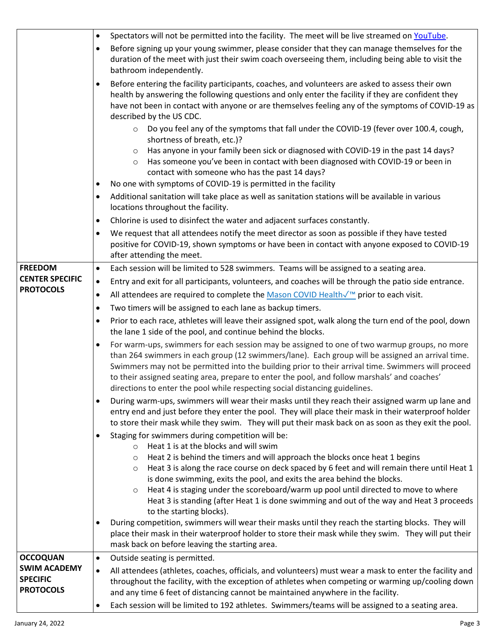|                        | Spectators will not be permitted into the facility. The meet will be live streamed on YouTube.<br>$\bullet$                                                                                        |
|------------------------|----------------------------------------------------------------------------------------------------------------------------------------------------------------------------------------------------|
|                        | Before signing up your young swimmer, please consider that they can manage themselves for the<br>$\bullet$                                                                                         |
|                        | duration of the meet with just their swim coach overseeing them, including being able to visit the                                                                                                 |
|                        | bathroom independently.                                                                                                                                                                            |
|                        | Before entering the facility participants, coaches, and volunteers are asked to assess their own<br>$\bullet$                                                                                      |
|                        | health by answering the following questions and only enter the facility if they are confident they                                                                                                 |
|                        | have not been in contact with anyone or are themselves feeling any of the symptoms of COVID-19 as<br>described by the US CDC.                                                                      |
|                        | Do you feel any of the symptoms that fall under the COVID-19 (fever over 100.4, cough,<br>$\circ$                                                                                                  |
|                        | shortness of breath, etc.)?                                                                                                                                                                        |
|                        | Has anyone in your family been sick or diagnosed with COVID-19 in the past 14 days?<br>$\circ$                                                                                                     |
|                        | Has someone you've been in contact with been diagnosed with COVID-19 or been in<br>$\circ$                                                                                                         |
|                        | contact with someone who has the past 14 days?                                                                                                                                                     |
|                        | No one with symptoms of COVID-19 is permitted in the facility                                                                                                                                      |
|                        | Additional sanitation will take place as well as sanitation stations will be available in various<br>$\bullet$<br>locations throughout the facility.                                               |
|                        |                                                                                                                                                                                                    |
|                        | Chlorine is used to disinfect the water and adjacent surfaces constantly.<br>٠<br>We request that all attendees notify the meet director as soon as possible if they have tested<br>$\bullet$      |
|                        | positive for COVID-19, shown symptoms or have been in contact with anyone exposed to COVID-19                                                                                                      |
|                        | after attending the meet.                                                                                                                                                                          |
| <b>FREEDOM</b>         | Each session will be limited to 528 swimmers. Teams will be assigned to a seating area.<br>$\bullet$                                                                                               |
| <b>CENTER SPECIFIC</b> | Entry and exit for all participants, volunteers, and coaches will be through the patio side entrance.<br>$\bullet$                                                                                 |
| <b>PROTOCOLS</b>       | All attendees are required to complete the Mason COVID Health√ <sup>™</sup> prior to each visit.                                                                                                   |
|                        | Two timers will be assigned to each lane as backup timers.<br>٠                                                                                                                                    |
|                        | Prior to each race, athletes will leave their assigned spot, walk along the turn end of the pool, down<br>$\bullet$                                                                                |
|                        | the lane 1 side of the pool, and continue behind the blocks.                                                                                                                                       |
|                        | For warm-ups, swimmers for each session may be assigned to one of two warmup groups, no more<br>$\bullet$                                                                                          |
|                        | than 264 swimmers in each group (12 swimmers/lane). Each group will be assigned an arrival time.                                                                                                   |
|                        | Swimmers may not be permitted into the building prior to their arrival time. Swimmers will proceed<br>to their assigned seating area, prepare to enter the pool, and follow marshals' and coaches' |
|                        | directions to enter the pool while respecting social distancing guidelines.                                                                                                                        |
|                        | During warm-ups, swimmers will wear their masks until they reach their assigned warm up lane and<br>$\bullet$                                                                                      |
|                        | entry end and just before they enter the pool. They will place their mask in their waterproof holder                                                                                               |
|                        | to store their mask while they swim. They will put their mask back on as soon as they exit the pool.                                                                                               |
|                        | Staging for swimmers during competition will be:                                                                                                                                                   |
|                        | Heat 1 is at the blocks and will swim<br>$\circ$<br>Heat 2 is behind the timers and will approach the blocks once heat 1 begins<br>$\circ$                                                         |
|                        | Heat 3 is along the race course on deck spaced by 6 feet and will remain there until Heat 1<br>O                                                                                                   |
|                        | is done swimming, exits the pool, and exits the area behind the blocks.                                                                                                                            |
|                        | Heat 4 is staging under the scoreboard/warm up pool until directed to move to where<br>$\circ$                                                                                                     |
|                        | Heat 3 is standing (after Heat 1 is done swimming and out of the way and Heat 3 proceeds                                                                                                           |
|                        | to the starting blocks).<br>During competition, swimmers will wear their masks until they reach the starting blocks. They will                                                                     |
|                        | place their mask in their waterproof holder to store their mask while they swim. They will put their                                                                                               |
|                        | mask back on before leaving the starting area.                                                                                                                                                     |
| <b>OCCOQUAN</b>        | Outside seating is permitted.<br>$\bullet$                                                                                                                                                         |
| <b>SWIM ACADEMY</b>    | All attendees (athletes, coaches, officials, and volunteers) must wear a mask to enter the facility and<br>$\bullet$                                                                               |
| <b>SPECIFIC</b>        | throughout the facility, with the exception of athletes when competing or warming up/cooling down                                                                                                  |
| <b>PROTOCOLS</b>       | and any time 6 feet of distancing cannot be maintained anywhere in the facility.                                                                                                                   |
|                        | Each session will be limited to 192 athletes. Swimmers/teams will be assigned to a seating area.                                                                                                   |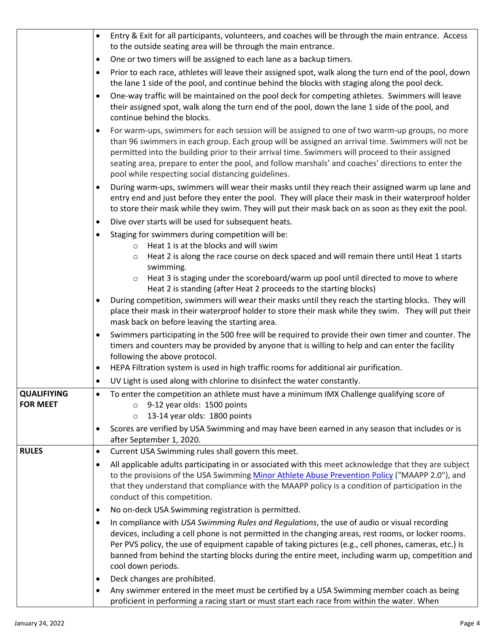|                                | Entry & Exit for all participants, volunteers, and coaches will be through the main entrance. Access<br>$\bullet$<br>to the outside seating area will be through the main entrance.                                                                                                                                                                                                                                                                                               |
|--------------------------------|-----------------------------------------------------------------------------------------------------------------------------------------------------------------------------------------------------------------------------------------------------------------------------------------------------------------------------------------------------------------------------------------------------------------------------------------------------------------------------------|
|                                | One or two timers will be assigned to each lane as a backup timers.<br>٠                                                                                                                                                                                                                                                                                                                                                                                                          |
|                                | Prior to each race, athletes will leave their assigned spot, walk along the turn end of the pool, down<br>$\bullet$                                                                                                                                                                                                                                                                                                                                                               |
|                                | the lane 1 side of the pool, and continue behind the blocks with staging along the pool deck.                                                                                                                                                                                                                                                                                                                                                                                     |
|                                | One-way traffic will be maintained on the pool deck for competing athletes. Swimmers will leave<br>$\bullet$<br>their assigned spot, walk along the turn end of the pool, down the lane 1 side of the pool, and<br>continue behind the blocks.                                                                                                                                                                                                                                    |
|                                | For warm-ups, swimmers for each session will be assigned to one of two warm-up groups, no more<br>$\bullet$<br>than 96 swimmers in each group. Each group will be assigned an arrival time. Swimmers will not be<br>permitted into the building prior to their arrival time. Swimmers will proceed to their assigned<br>seating area, prepare to enter the pool, and follow marshals' and coaches' directions to enter the<br>pool while respecting social distancing guidelines. |
|                                | During warm-ups, swimmers will wear their masks until they reach their assigned warm up lane and<br>$\bullet$<br>entry end and just before they enter the pool. They will place their mask in their waterproof holder<br>to store their mask while they swim. They will put their mask back on as soon as they exit the pool.                                                                                                                                                     |
|                                | Dive over starts will be used for subsequent heats.<br>$\bullet$                                                                                                                                                                                                                                                                                                                                                                                                                  |
|                                | Staging for swimmers during competition will be:<br>$\bullet$                                                                                                                                                                                                                                                                                                                                                                                                                     |
|                                | Heat 1 is at the blocks and will swim<br>$\circ$<br>Heat 2 is along the race course on deck spaced and will remain there until Heat 1 starts<br>$\circ$<br>swimming.                                                                                                                                                                                                                                                                                                              |
|                                | Heat 3 is staging under the scoreboard/warm up pool until directed to move to where<br>$\circ$<br>Heat 2 is standing (after Heat 2 proceeds to the starting blocks)                                                                                                                                                                                                                                                                                                               |
|                                | During competition, swimmers will wear their masks until they reach the starting blocks. They will<br>٠<br>place their mask in their waterproof holder to store their mask while they swim. They will put their<br>mask back on before leaving the starting area.                                                                                                                                                                                                                 |
|                                | Swimmers participating in the 500 free will be required to provide their own timer and counter. The<br>٠<br>timers and counters may be provided by anyone that is willing to help and can enter the facility<br>following the above protocol.                                                                                                                                                                                                                                     |
|                                | HEPA Filtration system is used in high traffic rooms for additional air purification.<br>٠                                                                                                                                                                                                                                                                                                                                                                                        |
|                                | UV Light is used along with chlorine to disinfect the water constantly.<br>$\bullet$                                                                                                                                                                                                                                                                                                                                                                                              |
| QUALIFIYING<br><b>FOR MEET</b> | To enter the competition an athlete must have a minimum IMX Challenge qualifying score of<br>9-12 year olds: 1500 points<br>$\circ$<br>13-14 year olds: 1800 points<br>$\circ$                                                                                                                                                                                                                                                                                                    |
|                                | Scores are verified by USA Swimming and may have been earned in any season that includes or is<br>$\bullet$<br>after September 1, 2020.                                                                                                                                                                                                                                                                                                                                           |
| <b>RULES</b>                   | Current USA Swimming rules shall govern this meet.<br>$\bullet$                                                                                                                                                                                                                                                                                                                                                                                                                   |
|                                | All applicable adults participating in or associated with this meet acknowledge that they are subject<br>٠<br>to the provisions of the USA Swimming Minor Athlete Abuse Prevention Policy ("MAAPP 2.0"), and<br>that they understand that compliance with the MAAPP policy is a condition of participation in the<br>conduct of this competition.                                                                                                                                 |
|                                | No on-deck USA Swimming registration is permitted.<br>$\bullet$                                                                                                                                                                                                                                                                                                                                                                                                                   |
|                                | In compliance with USA Swimming Rules and Regulations, the use of audio or visual recording<br>٠<br>devices, including a cell phone is not permitted in the changing areas, rest rooms, or locker rooms.<br>Per PVS policy, the use of equipment capable of taking pictures (e.g., cell phones, cameras, etc.) is<br>banned from behind the starting blocks during the entire meet, including warm up, competition and<br>cool down periods.                                      |
|                                | Deck changes are prohibited.<br>$\bullet$                                                                                                                                                                                                                                                                                                                                                                                                                                         |
|                                | Any swimmer entered in the meet must be certified by a USA Swimming member coach as being<br>٠<br>proficient in performing a racing start or must start each race from within the water. When                                                                                                                                                                                                                                                                                     |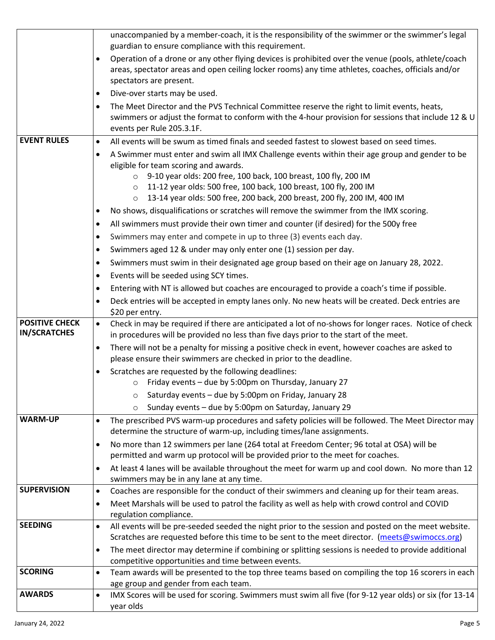|                                              | unaccompanied by a member-coach, it is the responsibility of the swimmer or the swimmer's legal<br>guardian to ensure compliance with this requirement.                                                                                           |
|----------------------------------------------|---------------------------------------------------------------------------------------------------------------------------------------------------------------------------------------------------------------------------------------------------|
|                                              | Operation of a drone or any other flying devices is prohibited over the venue (pools, athlete/coach<br>$\bullet$<br>areas, spectator areas and open ceiling locker rooms) any time athletes, coaches, officials and/or<br>spectators are present. |
|                                              | Dive-over starts may be used.<br>$\bullet$                                                                                                                                                                                                        |
|                                              | The Meet Director and the PVS Technical Committee reserve the right to limit events, heats,<br>$\bullet$<br>swimmers or adjust the format to conform with the 4-hour provision for sessions that include 12 & U<br>events per Rule 205.3.1F.      |
| <b>EVENT RULES</b>                           | All events will be swum as timed finals and seeded fastest to slowest based on seed times.<br>$\bullet$                                                                                                                                           |
|                                              | A Swimmer must enter and swim all IMX Challenge events within their age group and gender to be<br>٠<br>eligible for team scoring and awards.                                                                                                      |
|                                              | ○ 9-10 year olds: 200 free, 100 back, 100 breast, 100 fly, 200 IM<br>11-12 year olds: 500 free, 100 back, 100 breast, 100 fly, 200 IM<br>$\circ$<br>13-14 year olds: 500 free, 200 back, 200 breast, 200 fly, 200 IM, 400 IM<br>$\circ$           |
|                                              | No shows, disqualifications or scratches will remove the swimmer from the IMX scoring.<br>$\bullet$                                                                                                                                               |
|                                              | All swimmers must provide their own timer and counter (if desired) for the 500y free<br>$\bullet$                                                                                                                                                 |
|                                              | Swimmers may enter and compete in up to three (3) events each day.<br>٠                                                                                                                                                                           |
|                                              | Swimmers aged 12 & under may only enter one (1) session per day.<br>$\bullet$                                                                                                                                                                     |
|                                              | Swimmers must swim in their designated age group based on their age on January 28, 2022.<br>$\bullet$                                                                                                                                             |
|                                              | Events will be seeded using SCY times.<br>٠                                                                                                                                                                                                       |
|                                              | Entering with NT is allowed but coaches are encouraged to provide a coach's time if possible.<br>$\bullet$                                                                                                                                        |
|                                              | Deck entries will be accepted in empty lanes only. No new heats will be created. Deck entries are<br>$\bullet$<br>\$20 per entry.                                                                                                                 |
| <b>POSITIVE CHECK</b><br><b>IN/SCRATCHES</b> | Check in may be required if there are anticipated a lot of no-shows for longer races. Notice of check<br>$\bullet$<br>in procedures will be provided no less than five days prior to the start of the meet.                                       |
|                                              | There will not be a penalty for missing a positive check in event, however coaches are asked to<br>$\bullet$<br>please ensure their swimmers are checked in prior to the deadline.                                                                |
|                                              | Scratches are requested by the following deadlines:<br>$\bullet$<br>Friday events - due by 5:00pm on Thursday, January 27<br>$\circ$                                                                                                              |
|                                              | Saturday events - due by 5:00pm on Friday, January 28                                                                                                                                                                                             |
|                                              | Sunday events - due by 5:00pm on Saturday, January 29                                                                                                                                                                                             |
| <b>WARM-UP</b>                               | The prescribed PVS warm-up procedures and safety policies will be followed. The Meet Director may<br>$\bullet$<br>determine the structure of warm-up, including times/lane assignments.                                                           |
|                                              | No more than 12 swimmers per lane (264 total at Freedom Center; 96 total at OSA) will be<br>$\bullet$<br>permitted and warm up protocol will be provided prior to the meet for coaches.                                                           |
|                                              | At least 4 lanes will be available throughout the meet for warm up and cool down. No more than 12<br>$\bullet$<br>swimmers may be in any lane at any time.                                                                                        |
| <b>SUPERVISION</b>                           | Coaches are responsible for the conduct of their swimmers and cleaning up for their team areas.<br>$\bullet$                                                                                                                                      |
|                                              | Meet Marshals will be used to patrol the facility as well as help with crowd control and COVID<br>$\bullet$                                                                                                                                       |
| <b>SEEDING</b>                               | regulation compliance.                                                                                                                                                                                                                            |
|                                              | All events will be pre-seeded seeded the night prior to the session and posted on the meet website.<br>$\bullet$<br>Scratches are requested before this time to be sent to the meet director. (meets@swimoccs.org)                                |
|                                              | The meet director may determine if combining or splitting sessions is needed to provide additional<br>$\bullet$<br>competitive opportunities and time between events.                                                                             |
| <b>SCORING</b>                               | Team awards will be presented to the top three teams based on compiling the top 16 scorers in each<br>$\bullet$                                                                                                                                   |
|                                              | age group and gender from each team.                                                                                                                                                                                                              |
| <b>AWARDS</b>                                | IMX Scores will be used for scoring. Swimmers must swim all five (for 9-12 year olds) or six (for 13-14<br>$\bullet$<br>year olds                                                                                                                 |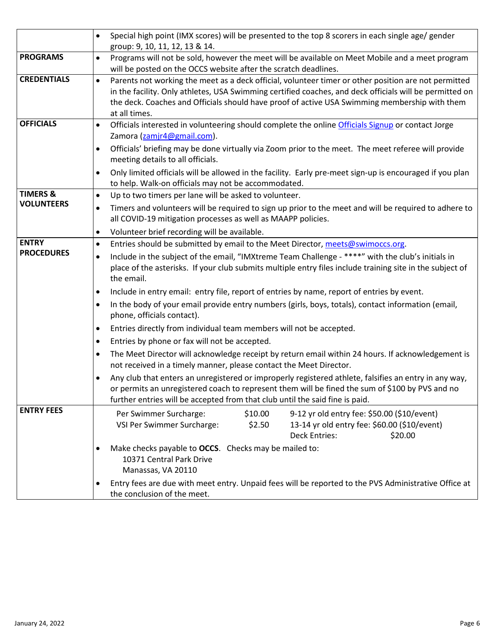|                     | Special high point (IMX scores) will be presented to the top 8 scorers in each single age/ gender<br>group: 9, 10, 11, 12, 13 & 14.                                                                                                                                                                                               |  |  |  |
|---------------------|-----------------------------------------------------------------------------------------------------------------------------------------------------------------------------------------------------------------------------------------------------------------------------------------------------------------------------------|--|--|--|
| <b>PROGRAMS</b>     | Programs will not be sold, however the meet will be available on Meet Mobile and a meet program<br>will be posted on the OCCS website after the scratch deadlines.                                                                                                                                                                |  |  |  |
| <b>CREDENTIALS</b>  | Parents not working the meet as a deck official, volunteer timer or other position are not permitted<br>in the facility. Only athletes, USA Swimming certified coaches, and deck officials will be permitted on<br>the deck. Coaches and Officials should have proof of active USA Swimming membership with them<br>at all times. |  |  |  |
| <b>OFFICIALS</b>    | Officials interested in volunteering should complete the online Officials Signup or contact Jorge<br>$\bullet$<br>Zamora (zamjr4@gmail.com).                                                                                                                                                                                      |  |  |  |
|                     | Officials' briefing may be done virtually via Zoom prior to the meet. The meet referee will provide<br>$\bullet$<br>meeting details to all officials.                                                                                                                                                                             |  |  |  |
|                     | Only limited officials will be allowed in the facility. Early pre-meet sign-up is encouraged if you plan<br>$\bullet$<br>to help. Walk-on officials may not be accommodated.                                                                                                                                                      |  |  |  |
| <b>TIMERS &amp;</b> | Up to two timers per lane will be asked to volunteer.<br>$\bullet$                                                                                                                                                                                                                                                                |  |  |  |
| <b>VOLUNTEERS</b>   | Timers and volunteers will be required to sign up prior to the meet and will be required to adhere to<br>all COVID-19 mitigation processes as well as MAAPP policies.                                                                                                                                                             |  |  |  |
|                     | Volunteer brief recording will be available.                                                                                                                                                                                                                                                                                      |  |  |  |
| <b>ENTRY</b>        | Entries should be submitted by email to the Meet Director, meets@swimoccs.org.<br>$\bullet$                                                                                                                                                                                                                                       |  |  |  |
| <b>PROCEDURES</b>   | Include in the subject of the email, "IMXtreme Team Challenge - ****" with the club's initials in<br>place of the asterisks. If your club submits multiple entry files include training site in the subject of<br>the email.                                                                                                      |  |  |  |
|                     | Include in entry email: entry file, report of entries by name, report of entries by event.<br>$\bullet$                                                                                                                                                                                                                           |  |  |  |
|                     | In the body of your email provide entry numbers (girls, boys, totals), contact information (email,<br>$\bullet$<br>phone, officials contact).                                                                                                                                                                                     |  |  |  |
|                     | Entries directly from individual team members will not be accepted.                                                                                                                                                                                                                                                               |  |  |  |
|                     | Entries by phone or fax will not be accepted.                                                                                                                                                                                                                                                                                     |  |  |  |
|                     | The Meet Director will acknowledge receipt by return email within 24 hours. If acknowledgement is<br>$\bullet$<br>not received in a timely manner, please contact the Meet Director.                                                                                                                                              |  |  |  |
|                     | Any club that enters an unregistered or improperly registered athlete, falsifies an entry in any way,<br>or permits an unregistered coach to represent them will be fined the sum of \$100 by PVS and no<br>further entries will be accepted from that club until the said fine is paid.                                          |  |  |  |
| <b>ENTRY FEES</b>   | \$10.00<br>9-12 yr old entry fee: \$50.00 (\$10/event)<br>Per Swimmer Surcharge:<br>VSI Per Swimmer Surcharge:<br>13-14 yr old entry fee: \$60.00 (\$10/event)<br>\$2.50<br><b>Deck Entries:</b><br>\$20.00                                                                                                                       |  |  |  |
|                     | Make checks payable to OCCS. Checks may be mailed to:<br>$\bullet$<br>10371 Central Park Drive<br>Manassas, VA 20110                                                                                                                                                                                                              |  |  |  |
|                     | Entry fees are due with meet entry. Unpaid fees will be reported to the PVS Administrative Office at<br>٠<br>the conclusion of the meet.                                                                                                                                                                                          |  |  |  |